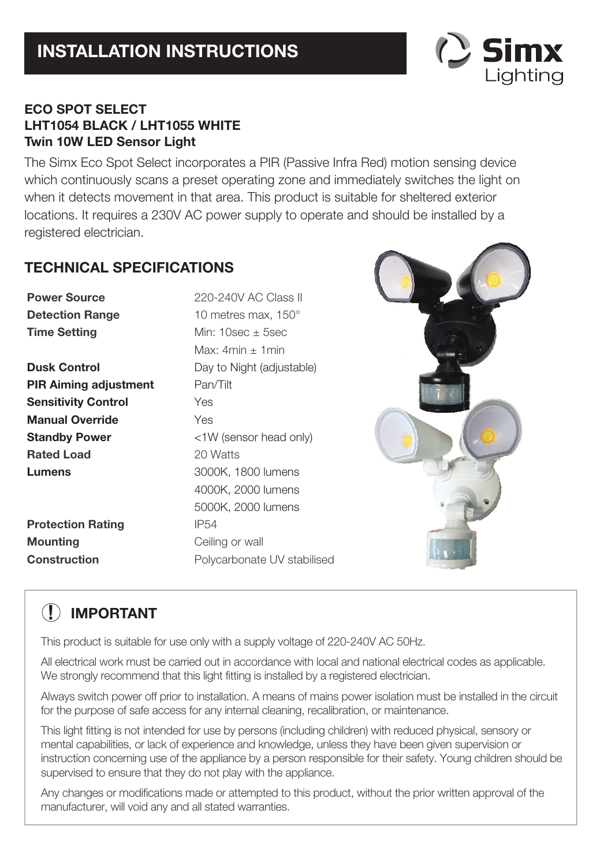

# **ECO SPOT SELECT LHT1054 BLACK / LHT1055 WHITE Twin 10W LED Sensor Light**

The Simx Eco Spot Select incorporates a PIR (Passive Infra Red) motion sensing device which continuously scans a preset operating zone and immediately switches the light on when it detects movement in that area. This product is suitable for sheltered exterior locations. It requires a 230V AC power supply to operate and should be installed by a registered electrician.

# **TECHNICAL SPECIFICATIONS**

**Detection Range 10 metres max, 150° Time Setting Min: 10sec ± 5sec Dusk Control Day to Night (adjustable) PIR Aiming adjustment** Pan/Tilt **Sensitivity Control** Yes **Manual Override** Yes **Standby Power** <1W (sensor head only) **Rated Load** 20 Watts **Lumens** 3000K, 1800 lumens

**Protection Rating IP54 Mounting Ceiling or wall** 

**Power Source** 220-240V AC Class II Max:  $4min + 1min$ 4000K, 2000 lumens 5000K, 2000 lumens **Construction Polycarbonate UV stabilised** 



# **! IMPORTANT**

This product is suitable for use only with a supply voltage of 220-240V AC 50Hz.

All electrical work must be carried out in accordance with local and national electrical codes as applicable. We strongly recommend that this light fitting is installed by a registered electrician.

Always switch power off prior to installation. A means of mains power isolation must be installed in the circuit for the purpose of safe access for any internal cleaning, recalibration, or maintenance.

This light fitting is not intended for use by persons (including children) with reduced physical, sensory or mental capabilities, or lack of experience and knowledge, unless they have been given supervision or instruction concerning use of the appliance by a person responsible for their safety. Young children should be supervised to ensure that they do not play with the appliance.

Any changes or modifications made or attempted to this product, without the prior written approval of the manufacturer, will void any and all stated warranties.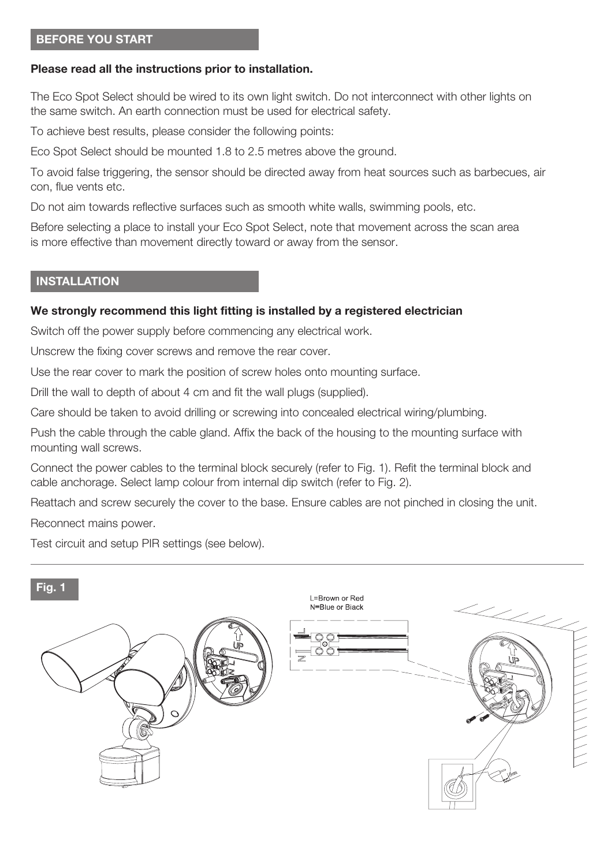#### **BEFORE YOU START**

#### **Please read all the instructions prior to installation.**

The Eco Spot Select should be wired to its own light switch. Do not interconnect with other lights on the same switch. An earth connection must be used for electrical safety.

To achieve best results, please consider the following points:

Eco Spot Select should be mounted 1.8 to 2.5 metres above the ground.

To avoid false triggering, the sensor should be directed away from heat sources such as barbecues, air con, flue vents etc.

Do not aim towards reflective surfaces such as smooth white walls, swimming pools, etc.

Before selecting a place to install your Eco Spot Select, note that movement across the scan area is more effective than movement directly toward or away from the sensor.

#### **INSTALLATION**

#### **We strongly recommend this light fitting is installed by a registered electrician**

Switch off the power supply before commencing any electrical work.

Unscrew the fixing cover screws and remove the rear cover.

Use the rear cover to mark the position of screw holes onto mounting surface.

Drill the wall to depth of about 4 cm and fit the wall plugs (supplied).

Care should be taken to avoid drilling or screwing into concealed electrical wiring/plumbing.

Push the cable through the cable gland. Affix the back of the housing to the mounting surface with mounting wall screws.

Connect the power cables to the terminal block securely (refer to Fig. 1). Refit the terminal block and cable anchorage. Select lamp colour from internal dip switch (refer to Fig. 2).

Reattach and screw securely the cover to the base. Ensure cables are not pinched in closing the unit.

Reconnect mains power.

Test circuit and setup PIR settings (see below).

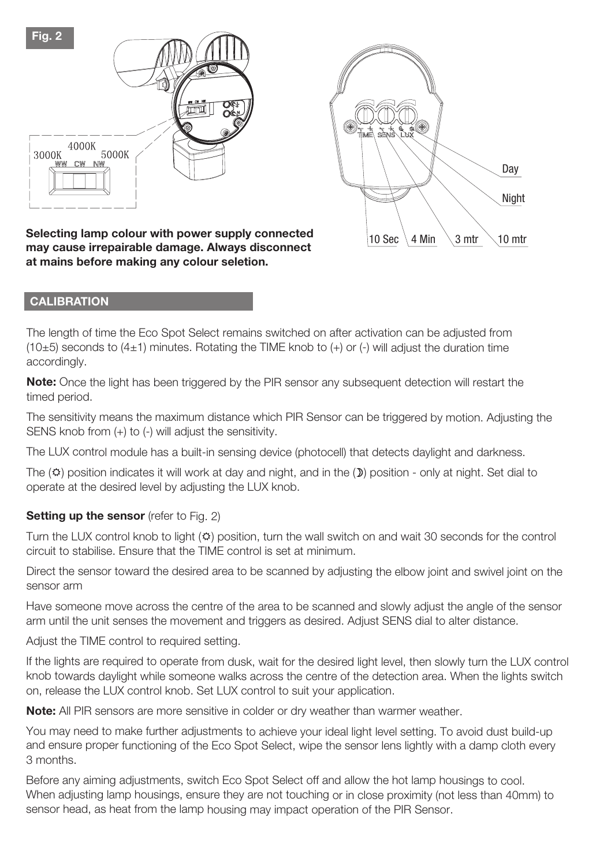

10 Sec  $\setminus$  4 Min  $\setminus$  3 mtr  $\setminus$  10 mtr **Night** Day

**Selecting lamp colour with power supply connected may cause irrepairable damage. Always disconnect at mains before making any colour seletion.**

#### **CALIBRATION**

The length of time the Eco Spot Select remains switched on after activation can be adjusted from  $(10±5)$  seconds to  $(4±1)$  minutes. Rotating the TIME knob to  $(+)$  or  $(-)$  will adjust the duration time accordingly.

**Note:** Once the light has been triggered by the PIR sensor any subsequent detection will restart the timed period.

The sensitivity means the maximum distance which PIR Sensor can be triggered by motion. Adjusting the SENS knob from (+) to (-) will adjust the sensitivity.

The LUX control module has <sup>a</sup> built-in sensing device (photocell) that detects daylight and darkness.

The  $(2)$  position indicates it will work at day and night, and in the  $(2)$  position - only at night. Set dial to operate at the desired level by adjusting the LUX knob.

#### **Setting up the sensor** (refer to Fig. 2)

Turn the LUX control knob to light  $( \circ )$  position, turn the wall switch on and wait 30 seconds for the control circuit to stabilise. Ensure that the TIME control is set at minimum

Direct the sensor toward the desired area to be scanned by adjusting the elbow joint and swivel joint on the sensor arm

Have someone move across the centre of the area to be scanned and slowly adjust the angle of the sensor arm until the unit senses the movement and triggers as desired. Adjust SENS dial to alter distance.

Adjust the TIME control to required setting.

If the lights are required to operate from dusk, wait for the desired light level, then slowly turn the LUX control knob towards daylight while someone walks across the centre of the detection area. When the lights switch on, release the LUX control knob. Set LUX control to suit your application.

**Note:** All PIR sensors are more sensitive in colder or dry weather than warmer weather.

You may need to make further adjustments to achieve your ideal light level setting. To avoid dust build-up and ensure proper functioning of the Eco Spot Select, wipe the sensor lens lightly with a damp cloth every 3 months.

Before any aiming adjustments, switch Eco Spot Select off and allow the hot lamp housings to cool. When adjusting lamp housings, ensure they are not touching or in close proximity (not less than 40mm) to sensor head, as heat from the lamp housing may impact operation of the PIR Sensor.